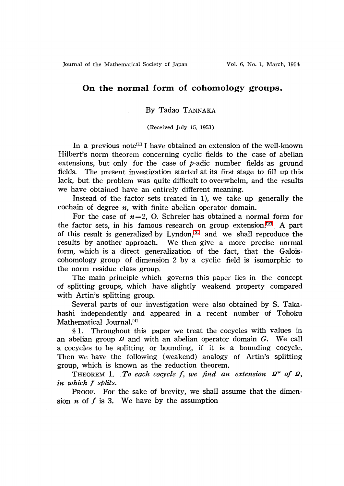Journal of the Mathematical Society of Japan Vol. 6, No. 1, March, 1954

# On the normal form of cohomology groups.

## By Tadao TANNAKA

#### (Received July 15, 1953)

In a previous note<sup>[1]</sup> I have obtained an extension of the well-known Hilbert's norm theorem concerning cyclic fields to the case of abelian extensions, but only for the case of  $\phi$ -adic number fields as ground fields. The present investigation started at its first stage to fill up this lack, but the problem was quite difficult to overwhelm, and the results we have obtained have an entirely different meaning.

Instead of the factor sets treated in 1), we take up generally the cochain of degree  $n$ , with finite abelian operator domain.

For the case of  $n=2$ , O. Schreier has obtained a normal form for the factor sets, in his famous research on group extension.<sup>[\[2\]](#page-15-0)</sup> A part of this result is generalized by Lyndon, $^{[3]}$  $^{[3]}$  $^{[3]}$  and we shall reproduce the results by another approach. We then give a more precise normal form, which is a direct generalization of the fact, that the Galois. cohomology group of dimension 2 by a cyclic field is isomorphic to the norm residue class group.

The main principle which governs this paper lies in the concept of splitting groups, which have slightly weakend property compared with Artin's splitting group.

Several parts of our investigation were also obtained by S. Takahashi independently and appeared in a recent number of Tohoku Mathematical Journal. $[4]$ 

 $\S 1.$  Throughout this paper we treat the cocycles with values in an abelian group  $\mathcal Q$  and with an abelian operator domain  $G.$  We call a cocycles to be splitting or bounding, if it is a bounding cocycle. Then we have the following (weakend) analogy of Artin's splitting group, which is known as the reduction theorem.

THEOREM 1. To each cocycle f, we find an extension  $\mathcal{Q}^{*}$  of  $\mathcal{Q},$ in which  $f$  splits.

PROOF. For the sake of brevity, we shall assume that the dimension  $n$  of  $f$  is 3. We have by the assumption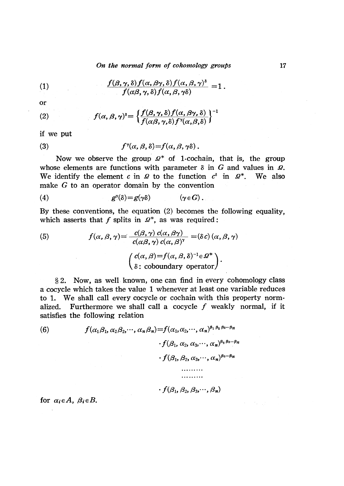On the normal form of cohomology groups 17

(1) 
$$
\frac{f(\beta,\gamma,\delta)f(\alpha,\beta\gamma,\delta)f(\alpha,\beta,\gamma)^{\delta}}{f(\alpha\beta,\gamma,\delta)f(\alpha,\beta,\gamma\delta)} = 1.
$$

or

(2) 
$$
f(\alpha, \beta, \gamma)^{\delta} = \left\{ \frac{f(\beta, \gamma, \delta) f(\alpha, \beta \gamma, \delta)}{f(\alpha \beta, \gamma, \delta) f^{\gamma}(\alpha, \beta, \delta)} \right\}^{-1}
$$

if we put

(3) 
$$
f^{\gamma}(\alpha,\beta,\delta)=f(\alpha,\beta,\gamma\delta).
$$

Now we observe the group  $\mathcal{Q}^{*}$  of 1-cochain, that is, the group whose elements are functions with parameter  $\delta$  in  $G$  and values in  $\mathcal{Q}$ . We identify the element  $c$  in  $\mathcal Q$  to the function  $c^{\delta}$  in  $\mathcal Q^{*}$ . We also make  $G$  to an operator domain by the convention

$$
(4) \t\t\t g^{\gamma}(\delta)=g(\gamma\delta) \t\t (\gamma\in G).
$$

By these conventions, the equation (2) becomes the following equality, which asserts that  $f$  splits in  $\mathcal{Q}^{*}$ , as was required:

(5) 
$$
f(\alpha, \beta, \gamma) = \frac{c(\beta, \gamma) c(\alpha, \beta \gamma)}{c(\alpha \beta, \gamma) c(\alpha, \beta)^{\gamma}} = (\delta c) (\alpha, \beta, \gamma)
$$

$$
\begin{pmatrix} c(\alpha, \beta) = f(\alpha, \beta, \delta)^{-1} \in \mathcal{Q}^{*} \\ \delta : \text{ coboundary operator} \end{pmatrix}.
$$

\S 2. Now, as well known, one can find in every cohomology class a cocycle which takes the value 1 whenever at least one variable reduces to 1. We shall call every cocycle or cochain with this property normalized. Furthermore we shall call a cocycle  $f$  weakly normal, if it satisfies the following relation

(6) 
$$
f(\alpha_1\beta_1, \alpha_2\beta_2, \cdots, \alpha_n\beta_n) = f(\alpha_1, \alpha_2, \cdots, \alpha_n)^{\beta_1 \beta_2 \beta_3 \cdots \beta_n} \cdot f(\beta_1, \alpha_2, \alpha_3, \cdots, \alpha_n)^{\beta_2 \beta_3 \cdots \beta_n} \cdot f(\beta_1, \beta_2, \alpha_3, \cdots, \alpha_n)^{\beta_3 \cdots \beta_n}
$$

$$
\cdot f(\beta_1,\beta_2,\beta_3,\cdots,\beta_n)
$$

for  $\alpha_{i} \in A$ ,  $\beta_{i} \in B$ .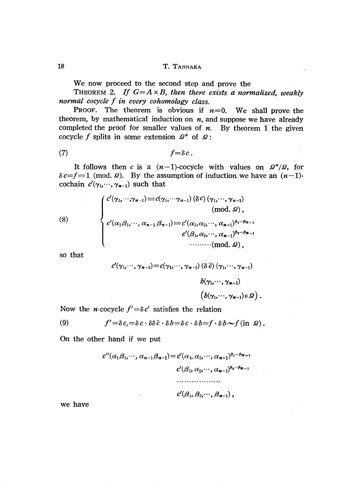We now proceed to the second step and prove the

THEOREM 2. If  $G = A \times B$ , then there exists a normalized, weakly normal cocycle  $f$  in every cohomology class.

PROOF. The theorem is obvious if  $n=0$ . We shall prove the theorem, by mathematical induction on  $n$ , and suppose we have already completed the proof for smaller values of  $n$ . By theorem 1 the given cocycle f splits in some extension  $\mathcal{Q}^{*}$  of  $\mathcal{Q}$ :

$$
(7) \t\t f=\delta c.
$$

It follows then c is a  $(n-1)$ -cocycle with values on  $\mathcal{Q}^{*}/\mathcal{Q}$ , for  $\delta c=f\equiv 1\pmod{ \Omega}.$  By the assumption of induction we have an  $(n-1)$ . cochain  $c'(\gamma_1,\cdots, \gamma_{n-1})$  such that

(8)  

$$
\begin{cases}\nc'(\gamma_1, \cdots, \gamma_{n-1}) \equiv c(\gamma_1, \cdots, \gamma_{n-1}) (\delta c) (\gamma_1, \cdots, \gamma_{n-1}) \\
(\text{mod. } \Omega), \\
c'(\alpha_1 \beta_1, \cdots, \alpha_{n-1} \beta_{n-1}) \equiv c'(\alpha_1, \alpha_2, \cdots, \alpha_{n-1})^{\beta_1 \cdots \beta_{n-1}} \\
c'(\beta_1, \alpha_2, \cdots, \alpha_{n-1})^{\beta_2 \cdots \beta_{n-1}} \\
\cdots \cdots \cdots (\text{mod. } \Omega),\n\end{cases}
$$

SO that

$$
c'(\gamma_1, \dots, \gamma_{n-1}) = c(\gamma_1, \dots, \gamma_{n-1}) (\delta \bar{c}) (\gamma_1, \dots, \gamma_{n-1})
$$
  

$$
b(\gamma_1, \dots, \gamma_{n-1})
$$
  

$$
(b(\gamma_1, \dots, \gamma_{n-1}) \in \mathcal{Q})
$$
.

Now the *n*-cocycle  $f^{\prime}=\delta c^{\prime}$  satisfies the relation

(9) 
$$
f' = \delta c_i = \delta c \cdot \delta \delta \bar{c} \cdot \delta b = \delta c \cdot \delta b = f \cdot \delta b \sim f(\text{in } \Omega).
$$

On the other hand if we put

$$
c''(\alpha_1\beta_1,\cdots,\alpha_{n-1}\beta_{n-1})=c'(\alpha_1,\alpha_2,\cdots,\alpha_{n-1})^{\beta_1\cdots\beta_{n-1}}
$$

$$
c'(\beta_1,\alpha_2,\cdots,\alpha_{n-1})^{\beta_2\cdots\beta_{n-1}}
$$

$$
\cdots
$$

$$
c'(\beta_1,\beta_2,\cdots,\beta_{n-1}),
$$

we have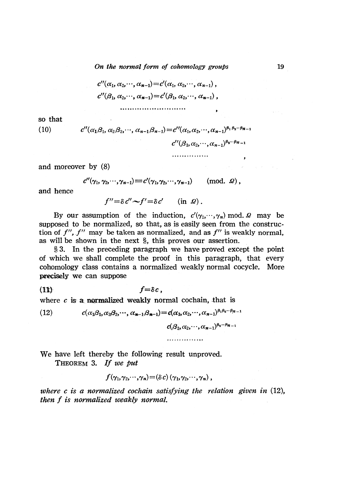On the normal form of cohomology groups 19

$$
c''(\alpha_1, \alpha_2, \cdots, \alpha_{n-1}) = c'(\alpha_1, \alpha_2, \cdots, \alpha_{n-1}),
$$
  

$$
c''(\beta_1, \alpha_2, \cdots, \alpha_{n-1}) = c'(\beta_1, \alpha_2, \cdots, \alpha_{n-1}),
$$
  
...

so that

(10) 
$$
c''(\alpha_1\beta_1, \alpha_2\beta_2, \cdots, \alpha_{n-1}\beta_{n-1}) = c''(\alpha_1, \alpha_2, \cdots, \alpha_{n-1})^{\beta_1 \beta_2 \cdots \beta_{n-1}}
$$

$$
c''(\beta_1, \alpha_2, \cdots, \alpha_{n-1})^{\beta_2 \cdots \beta_{n-1}}
$$

$$
\cdots \cdots \cdots \cdots \cdots
$$

and moreover by (8)

$$
c''(\gamma_1, \gamma_2, \cdots, \gamma_{n-1}) \equiv c'(\gamma_1, \gamma_2, \cdots, \gamma_{n-1}) \quad (\text{mod. } \Omega),
$$

and hence

$$
f'' = \delta c'' \sim f' = \delta c' \qquad (\text{in } \mathcal{Q}).
$$

By our assumption of the induction,  $c^{\prime}(\gamma_{1},\cdots,\gamma_{n})$  mod.  $\Omega$  may be supposed to be normalized, so that, as is easily seen from the construc. tion of  $f^{\prime\prime}$ ,  $f^{\prime\prime}$  may be taken as normalized, and as  $f^{\prime\prime}$  is weakly normal, as will be shown in the next  $\S$ , this proves our assertion.

 $\S 3.$  In the preceding paragraph we have proved except the point of which we shall complete the proof in this paragraph, that every cohomology class contains a normalized weakly normal cocycle. More precisely we can suppose

$$
(11) \t f = \delta c,
$$

where  $c$  is a normalized weakly normal cochain, that is

(12) 
$$
c(\alpha_1\beta_1,\alpha_2\beta_2,\cdots,\alpha_{n-1}\beta_{n-1})=c(\alpha_1,\alpha_2,\cdots,\alpha_{n-1})^{\beta_1\beta_2\cdots\beta_{n-1}}
$$

$$
c(\beta_1,\alpha_2,\cdots,\alpha_{n-1})^{\beta_2\cdots\beta_{n-1}}
$$

We have left thereby the following result unproved. THEOREM 3. If we put

$$
f(\gamma_1,\gamma_2,\cdots,\gamma_n)\!=\!(\delta c)(\gamma_1,\gamma_2,\cdots,\gamma_n)\,,
$$

where  $c$  is a normalized cochain satisfying the relation given in  $(12)$ , then  $f$  is normalized weakly normal.

. . . . . . . . . . . . . . .

 $\mathcal{A}_1$  , and  $\mathcal{A}_2$  , and

 $\sim$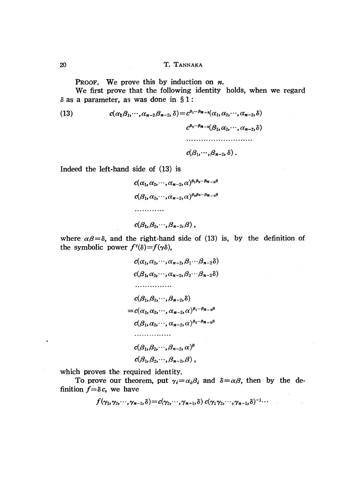PROOF. We prove this by induction on  $n$ .

We first prove that the following identity holds, when we regard  $\delta$  as a parameter, as was done in  $\S 1$ :

<span id="page-4-0"></span>(13) 
$$
c(\alpha_1\beta_1,\cdots,\alpha_{n-2}\beta_{n-2},\delta)=c^{\beta_1\cdots\beta_{n-2}}(\alpha_1,\alpha_2,\cdots,\alpha_{n-2},\delta)
$$

$$
c^{\beta_2\cdots\beta_{n-2}}(\beta_1,\alpha_2,\cdots,\alpha_{n-2},\delta)
$$

$$
\cdots
$$

$$
c(\beta_1,\cdots,\beta_{n-2},\delta).
$$

Indeed the  $left$ -hand side of  $(13)$  is

$$
c(\alpha_1, \alpha_2, \cdots, \alpha_{n-2}, \alpha)^{\beta_1 \beta_2 \cdots \beta_{n-2} \beta}
$$
  
\n
$$
c(\beta_1, \alpha_2, \cdots, \alpha_{n-2}, \alpha)^{\beta_2 \beta_3 \cdots \beta_{n-2} \beta}
$$
  
\n
$$
\cdots \cdots \cdots
$$
  
\n
$$
c(\beta_1, \beta_2, \cdots, \beta_{n-2}, \beta),
$$

where  $\alpha\beta=\delta$ , and the right-hand side of (13) is, by the definition of the symbolic power  $f^{\gamma}(\delta)=f(\gamma\delta)$ ,

$$
c(\alpha_1, \alpha_2, \cdots, \alpha_{n-2}, \beta_1 \cdots \beta_{n-2}\delta)
$$
  
\n
$$
c(\beta_1, \alpha_2, \cdots, \alpha_{n-2}, \beta_2 \cdots \beta_{n-2}\delta)
$$
  
\n
$$
\cdots \cdots \cdots
$$
  
\n
$$
c(\beta_1, \beta_2, \cdots, \beta_{n-2}, \delta)
$$
  
\n
$$
= c(\alpha_1, \alpha_2, \cdots, \alpha_{n-2}, \alpha)^{\beta_1 \cdots \beta_{n-2}\beta}
$$
  
\n
$$
c(\beta_1, \alpha_2, \cdots, \alpha_{n-2}, \alpha)^{\beta_2 \cdots \beta_{n-2}\beta}
$$
  
\n
$$
\cdots \cdots \cdots
$$
  
\n
$$
c(\beta_1, \beta_2, \cdots, \beta_{n-2}, \alpha)^{\beta}
$$
  
\n
$$
c(\beta_1, \beta_2, \cdots, \beta_{n-2}, \beta),
$$

which proves the required identity.

To prove our theorem, put  $\gamma_{i}=\alpha_{i}\beta_{i}$  and  $\delta=\alpha\beta$ , then by the definition  $f=\delta c$ , we have

$$
f(\gamma_1,\gamma_2,\cdots,\gamma_{n-1},\delta)=c(\gamma_2,\cdots,\gamma_{n-1},\delta)\;c(\gamma_1\gamma_2,\cdots,\gamma_{n-1},\delta)^{-1}\cdots
$$

 $\bullet$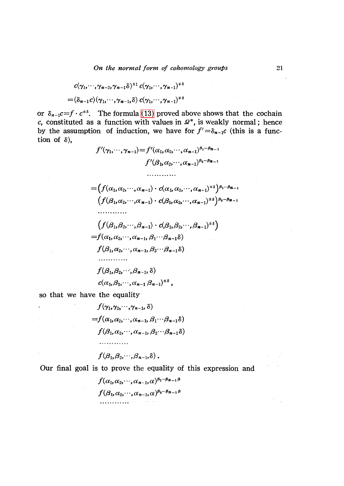$$
c(\gamma_1,\cdots,\gamma_{n-2},\gamma_{n-1}\delta)^{\pm 1} c(\gamma_1,\cdots,\gamma_{n-1})^{\mp \delta}
$$
  
=  $(\delta_{n-1}c)(\gamma_1,\cdots,\gamma_{n-1},\delta) c(\gamma_1,\cdots,\gamma_{n-1})^{\mp \delta}$ 

or  $\delta_{n-1}c = f \cdot c^{\pm\delta}$ . The formula [\(13\)](#page-4-0) proved above shows that the cochain c, constituted as a function with values in  $\mathcal{Q}^{*}$ , is weakly normal; hence by the assumption of induction, we have for  $f^{\prime}=\delta_{n-1}c$  (this is a function of  $\delta$ ),

$$
f'(\gamma_1, \dots, \gamma_{n-1}) = f'(\alpha_1, \alpha_2, \dots, \alpha_{n-1})^{\beta_1 \dots \beta_{n-1}}
$$
  
\n
$$
f'(\beta_1, \alpha_2, \dots, \alpha_{n-1})^{\beta_2 \dots \beta_{n-1}}
$$
  
\n
$$
= (f(\alpha_1, \alpha_2, \dots, \alpha_{n-1}) \cdot c(\alpha_1, \alpha_2, \dots, \alpha_{n-1})^{\alpha_2})^{\beta_1 \dots \beta_{n-1}}
$$
  
\n
$$
(f(\beta_1, \alpha_2, \dots, \alpha_{n-1}) \cdot c(\beta_1, \alpha_2, \dots, \alpha_{n-1})^{\alpha_2})^{\beta_2 \dots \beta_{n-1}}
$$
  
\n
$$
\dots
$$
  
\n
$$
(f(\beta_1, \beta_2, \dots, \beta_{n-1}) \cdot c(\beta_1, \beta_2, \dots, \beta_{n-1})^{\alpha_2})
$$
  
\n
$$
= f(\alpha_1, \alpha_2, \dots, \alpha_{n-1}, \beta_1 \dots \beta_{n-1} \delta)
$$
  
\n
$$
f(\beta_1, \alpha_2, \dots, \alpha_{n-1}, \beta_2 \dots \beta_{n-1} \delta)
$$
  
\n
$$
\dots
$$
  
\n
$$
f(\beta_1, \beta_2, \dots, \beta_{n-1}, \delta)
$$
  
\n
$$
c(\alpha_1, \beta_1, \dots, \alpha_{n-1}, \beta_{n-1})^{\alpha_2},
$$

so that we have the equality

٠ķ

 $\mathcal{L}^{\text{max}}$  , where  $\mathcal{L}^{\text{max}}$ 

 $\label{eq:2.1} \frac{1}{4\pi}\left(\frac{1}{2}\left(1-\frac{1}{2}\right)\right)\left(\frac{1}{2}\left(1-\frac{1}{2}\right)\right)\left(\frac{1}{2}\left(1-\frac{1}{2}\right)\right)\left(\frac{1}{2}\left(1-\frac{1}{2}\right)\right).$ 

and the state

$$
f(\gamma_1, \gamma_2, \cdots, \gamma_{n-1}, \delta)
$$
  
=  $f(\alpha_1, \alpha_2, \cdots, \alpha_{n-1}, \beta_1 \cdots \beta_{n-1} \delta)$   
 $f(\beta_1, \alpha_2, \cdots, \alpha_{n-1}, \beta_2 \cdots \beta_{n-1} \delta)$ 

$$
f(\beta_1,\beta_2,\cdots,\beta_{n-1},\delta)\,.
$$

Our final goal is to prove the equality of this expression and

 $f(\alpha_{1},\alpha_{2},\cdots,\alpha_{n-1},\alpha)^{\beta_{1}\cdots\beta_{n-1}\beta}$  $f(\beta_{1},\alpha_{2},\cdots,\alpha_{n-1},\alpha)^{\beta_{2}\cdots\beta_{n-1}\beta}$ 

 $\mathcal{L}_{\mathcal{A}}(\mathbf{x})$  , where  $\mathcal{L}_{\mathcal{A}}(\mathbf{x})$ 

 $\mathcal{L}$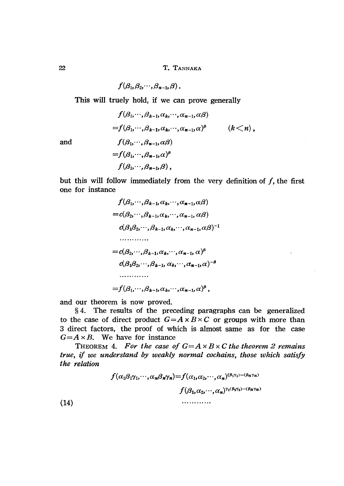$$
f(\beta_1,\beta_2,\cdots,\beta_{n-1},\beta).
$$

This will truely hold, if we can prove generally

$$
f(\beta_1, \cdots, \beta_{k-1}, \alpha_k, \cdots, \alpha_{n-1}, \alpha\beta)
$$
  
=  $f(\beta_1, \cdots, \beta_{k-1}, \alpha_k, \cdots, \alpha_{n-1}, \alpha)^{\beta}$   $(k < n),$   
 $f(\beta_1, \cdots, \beta_{n-1}, \alpha\beta)$   
=  $f(\beta_1, \cdots, \beta_{n-1}, \alpha)^{\beta}$   
 $f(\beta_1, \cdots, \beta_{n-1}, \beta),$ 

and

but this will follow immediately from the very definition of  $f$ , the first one for instance

$$
f(\beta_1, \dots, \beta_{k-1}, \alpha_k, \dots, \alpha_{n-1}, \alpha\beta)
$$
  
=  $c(\beta_2, \dots, \beta_{k-1}, \alpha_k, \dots, \alpha_{n-1}, \alpha\beta)$   
 $c(\beta_1\beta_2, \dots, \beta_{k-1}, \alpha_k, \dots, \alpha_{n-1}, \alpha\beta)^{-1}$   
........  
=  $c(\beta_2, \dots, \beta_{k-1}, \alpha_k, \dots, \alpha_{n-1}, \alpha)^{\beta}$   
 $c(\beta_1\beta_2, \dots, \beta_{k-1}, \alpha_k, \dots, \alpha_{n-1}, \alpha)^{-\beta}$   
........  
=  $f(\beta_1, \dots, \beta_{k-1}, \alpha_k, \dots, \alpha_{n-1}, \alpha)^{\beta}$ ,

and our theorem is now proved.

\S 4. The results of the preceding paragraphs can be generalized to the case of direct product  $G=A\times B\times C$  or groups with more than 3 direct factors, the proof of which is almost same as for the case  $G=A\times B$ . We have for instance

THEOREM 4. For the case of  $G=A\times B\times C$  the theorem 2 remains true, if we understand by weakly normal cochains, those which satisfy the relation

$$
f(\alpha_1\beta_1\gamma_1,\cdots,\alpha_n\beta_n\gamma_n)=f(\alpha_1,\alpha_2,\cdots,\alpha_n)^{(\beta_1\gamma_1)\cdots(\beta_n\gamma_n)}
$$

$$
f(\beta_1,\alpha_2,\cdots,\alpha_n)^{\gamma_1(\beta_2\gamma_2)\cdots(\beta_n\gamma_n)}
$$

$$
\cdots
$$

(14)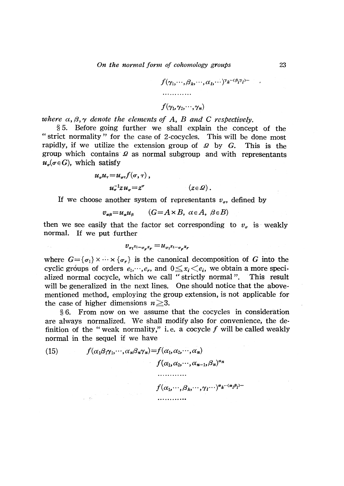$$
f(\gamma_1,\cdots,\beta_k,\cdots,\alpha_1,\cdots)^{\gamma_k\cdots(\beta_l\gamma_l)\cdots}
$$

# $f(\gamma_{1},\gamma_{2},\cdots,\gamma_{n})$

where  $\alpha, \beta, \gamma$  denote the elements of A, B and C respectively.

 $\S 5.$  Before going further we shall explain the concept of the " strict normality" for the case of 2.cocycles. This will be done most rapidly, if we utilize the extension group of  $\mathcal D$  by  $G$ . . This is the group which contains  $\Omega$  as normal subgroup and with representants  $u_{\sigma}(\sigma\!\in\! G)$ , which satisfy

$$
u_{\sigma}u_{\tau} = u_{\sigma\tau}f(\sigma,\tau),
$$
  

$$
u_{\sigma}^{-1}zu_{\sigma} = z^{\sigma} \qquad (z \in \Omega).
$$

If we choose another system of representants  $v_{\sigma}$ , defined by

$$
v_{\alpha\beta} = u_{\alpha} u_{\beta} \qquad (G = A \times B, \ \alpha \in A, \ \beta \in B)
$$

then we see easily that the factor set corresponding to  $v_{\sigma}$  is weakly normal. If we put further

$$
v_{\sigma_1}x_{1\cdots\sigma_r}x_r = u_{\sigma_1}x_{1\cdots\sigma_r}x_r
$$

where  $G=\{\sigma_{1}\}\times\cdots\times\{\sigma_{r}\}$  is the canonical decomposition of  $G$  into the cyclic groups of orders  $e_{1},\dots,e_{r}$ , and  $0\leq x_{i} < e_{i}$ , we obtain a more specialized normal cocycle, which we call "strictly normal". This result will be generalized in the next lines. One should notice that the abovementioned method, employing the group extension, is not applicable for the case of higher dimensions  $n \geq 3$ .

 $\S 6.$  From now on we assume that the cocycles in consideration are always normalized. We shall modify also for convenience, the definition of the "weak normality," i.e. a cocycle  $f$  will be called weakly normal in the sequel if we have

<span id="page-7-0"></span>(15)  $f(\alpha_{1}\beta_{1}\gamma_{1},\cdots,\alpha_{n}\beta_{n}\gamma_{n})=f(\alpha_{1},\alpha_{2},\cdots,\alpha_{n})$  $f(\alpha_{1},\alpha_{2},\cdots,\alpha_{n-1},\beta_{n})^{\alpha_{n}}$ 

$$
\dots
$$
  

$$
f(\alpha_1, \dots, \beta_k, \dots, \gamma_l \dots)^{\alpha_k \dots (\alpha_l \beta_l)}.
$$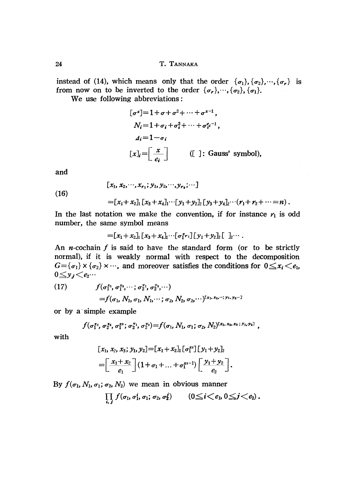instead of (14), which means only that the order  $\{\sigma_{1}\}, \{\sigma_{2}\},\cdots,\{\sigma_{r}\}$  is from now on to be inverted to the order  $\{\sigma_{r}\},\cdots, \{\sigma_{2}\}, \{\sigma_{1}\}.$ 

We use following abbreviations:

$$
[\sigma^x] = 1 + \sigma + \sigma^2 + \dots + \sigma^{x-1},
$$
  
\n
$$
N_i = 1 + \sigma_i + \sigma_i^2 + \dots + \sigma_i^{\rho_i - 1},
$$
  
\n
$$
A_i = 1 - \sigma_i
$$
  
\n
$$
[x]_i = \left[\frac{x}{e_i}\right]
$$
 ([ ]: Gauss' symbol),

and

 $[x_{1}, x_{2},\cdots,x_{r_{1}};y_{1},y_{2},\cdots,y_{r_{2}};\cdots]$ 

(16)

 $=$ [x<sub>1</sub>+x<sub>2</sub>]<sub>1</sub> [x<sub>3</sub> + x<sub>4</sub>]<sub>1</sub>.  $y_{1}+y_{2}$ ]<sub>2</sub> [y<sub>3</sub> + y<sub>4</sub>]<sub>2</sub>.  $y_{1}+r_{2}+\cdots=n$  ].

In the last notation we make the convention, if for instance  $r_{1}$  is odd number, the same symbol means

$$
=[x_1+x_2]_1[x_3+x_4]_1\cdots[\sigma_1^{x_{r_1}}][y_1+y_2]_2[\quad]_2\cdots
$$

An *n*-cochain f is said to have the standard form (or to be strictly normal), if it is weakly normal with respect to the decomposition  $G{=}\{\sigma_{1}\}\times\{\sigma_{2}\}\times\cdots$ , and moreover satisfies the conditions for  $0{\leq}x_{i}{<}e_{1},$  $0\leq y_{j}$ 

<span id="page-8-0"></span>(17) 
$$
f(\sigma_1^{x_1}, \sigma_1^{x_2}, \cdots; \sigma_2^{y_1}, \sigma_2^{y_2}, \cdots) = f(\sigma_1, N_1, \sigma_1, N_1, \cdots; \sigma_2, N_2, \sigma_2, \cdots)^{[x_1, x_2, \cdots; y_1, y_2, \cdots]}
$$

or by a simple example

$$
f(\sigma_1^{x_1}, \sigma_2^{x_3}, \sigma_1^{x_3}; \sigma_2^{y_1}, \sigma_2^{y_2}) = f(\sigma_1, N_1, \sigma_1; \sigma_2, N_2)^{[x_1, x_2, x_3; y_1, y_2]},
$$

with

$$
[x_1, x_2, x_3; y_1, y_2] = [x_1 + x_2] \cdot [\sigma_1^{x_3}] [y_1 + y_2]_2
$$
  
= 
$$
\left[ \frac{x_1 + x_2}{e_1} \right] (1 + \sigma_1 + ... + \sigma_1^{x_3-1}) \left[ \frac{y_1 + y_2}{e_2} \right].
$$

By  $f(\sigma_{1}, N_{1}, \sigma_{1}; \sigma_{2}, N_{2})$  we mean in obvious manner

$$
\prod_{i,j} f(\sigma_1,\sigma_1^i,\sigma_1;\sigma_2,\sigma_2^j) \qquad (0 \leq i \leq e_1, 0 \leq j \leq e_2).
$$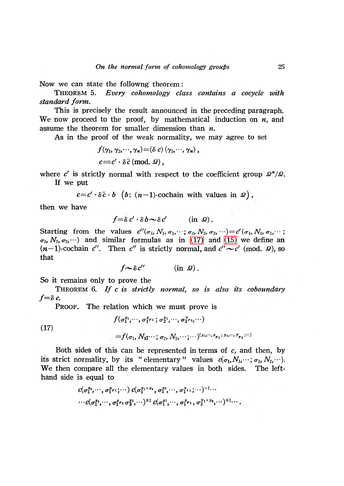Now we can state the followng theorem:

THEOREM 5. Every cohomology class contains a cocycle with standard form.

This is precisely the result announced in the preceding paragraph. We now proceed to the proof, by mathematical induction on  $n$ , and assume the theorem for smaller dimension than  $n$ .

As in the proof of the weak normality, we may agree to set

$$
f(\gamma_1, \gamma_2, \cdots, \gamma_n) = (\delta \ c) (\gamma_1, \cdots, \gamma_n),
$$
  

$$
c \equiv c' \cdot \delta \bar{c} \pmod{0},
$$

where  $c^{\prime}$  is strictly normal with respect to the coefficient group  $\mathcal{Q}^{*}/\mathcal{Q}.$ If we put

 $c=c^\prime\cdot\delta\bar{c}\cdot b \ \ \left(b\colon\thinspace(n-1)\text{-cochain with values in }\mathcal{Q}\right),$ 

then we have

$$
f = \delta c' \cdot \delta b \sim \delta c' \qquad (\text{in } \mathcal{Q}).
$$

Starting from the values  $c^{\prime\prime}(\sigma_{1}, N_{1}, \sigma_{1}, \cdots; \sigma_{2}, N_{2}, \sigma_{2}, \cdots)=c^{\prime}(\sigma_{1}, N_{1}, \sigma_{1}, \cdots;$  $\sigma_{2}$ ,  $N_{2}$ ,  $\sigma_{2}$ ,  $\cdots$ ) and similar formulas as in [\(17\)](#page-8-0) and [\(15\)](#page-7-0) we define an  $(n-1)$ -cochain  $c^{\prime\prime}$ . Then  $c^{\prime\prime}$  is strictly normal, and  $c^{\prime\prime}\sim c^{\prime}$  (mod.  $\Omega$ ), so that

$$
f \sim \delta c'' \qquad (\text{in } \mathcal{Q}).
$$

So it remains only to prove the

THEOREM  $6.$  If  $c$  is strictly normal, so is also its coboundary  $f{=}\delta c$ .

 $f(\sigma_{1}^{x_{1}},\cdots, \sigma_{1}^{x_{r1}}; \sigma_{2}^{y_{1}},\cdots, \sigma_{2}^{y_{r_{2}}},\cdots)$ 

PROOF. The relation which we must prove is

(17)

$$
= \hspace{-1.5mm}f(\sigma_1, N_1\hspace{-1.5mm};\cdots; \sigma_2, N_2\hspace{-1.5mm},\cdots)^{\mathbb{I}_{\mathfrak{X}_{1},\cdots, \mathfrak{X}_{\boldsymbol{r}_1}; \; \mathfrak{Y}_{1},\cdots, \mathfrak{Y}_{\boldsymbol{r}_2};\cdots]}
$$

Both sides of this can be represented in terms of  $c$ , and then, by its strict normality, by its "elementary" values  $\,c(\sigma_{1},N_{1},\cdots;\sigma_{2},N_{2},\cdots).$ We then compare all the elementary values in both sides. The left. hand side is equal to

$$
c(\sigma_1^{x_2}, \cdots, \sigma_1^{x_{r_1}}; \cdots) c(\sigma_1^{x_1+x_2}, \sigma_1^{x_3}, \cdots, \sigma_1^{x_{r_1}}; \cdots)^{-1} \cdots
$$
  

$$
\cdots c(\sigma_1^{x_1}, \cdots, \sigma_1^{x_{r_1}} \sigma_2^{y_1}, \cdots)^{\pm 1} c(\sigma_1^{x_1}, \cdots, \sigma_1^{x_{r_1}}, \sigma_2^{y_1+y_2}, \cdots)^{\pm 1} \cdots
$$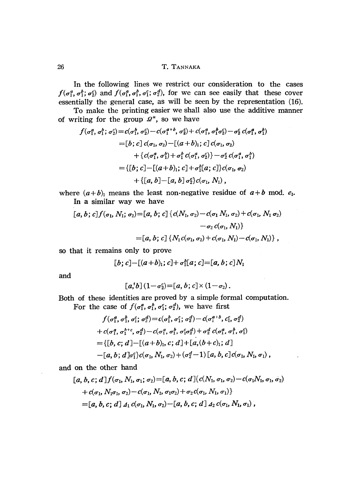In the following lines we restrict our consideration to the cases  $f(\sigma_{1}^{a}, \sigma_{1}^{b}; \sigma_{2}^{c})$  and  $f(\sigma_{1}^{a}, \sigma_{1}^{b}, \sigma_{1}^{c}; \sigma_{2}^{d})$ , for we can see easily that these cover essentially the general case, as will be seen by the representation (16).

To make the printing easier we shall also use the additive manner of writing for the group  $\mathcal{Q}^{*}$ , so we have

$$
f(\sigma_1^a, \sigma_1^b; \sigma_2^c) = c(\sigma_1^b, \sigma_2^c) - c(\sigma_1^{a+b}, \sigma_2^c) + c(\sigma_1^a, \sigma_1^b \sigma_2^c) - \sigma_2^c c(\sigma_1^a, \sigma_1^b)
$$
  
\n
$$
= [b; c] c(\sigma_1, \sigma_2) - [(a+b)_1; c] c(\sigma_1, \sigma_2)
$$
  
\n
$$
+ \{c(\sigma_1^a, \sigma_1^b) + \sigma_1^b c(\sigma_1^a, \sigma_2^c)\} - \sigma_2^c c(\sigma_1^a, \sigma_1^b)
$$
  
\n
$$
= \{ [b; c] - [(a+b)_1; c] + \sigma_1^b [a; c] \} c(\sigma_1, \sigma_2)
$$
  
\n
$$
+ \{ [a, b] - [a, b] \sigma_2^c \} c(\sigma_1, N_1),
$$

where  $(a+b)_{1}$  means the least non-negative residue of  $a+b$  mod.  $e_{1}$ . In a similar way we have

$$
[a, b; c] f(\sigma_1, N_1; \sigma_2) = [a, b; c] \{c(N_1, \sigma_2) - c(\sigma_1 N_1, \sigma_2) + c(\sigma_1, N_1 \sigma_2) -\sigma_2 c(\sigma_1, N_1)\}
$$
  

$$
= [a, b; c] \{N_1 c(\sigma_1, \sigma_2) + c(\sigma_1, N_1) - c(\sigma_1, N_1)\},
$$

so that it remains only to prove

$$
[b;c]-[(a+b)_1;c]+\sigma_1^b[a;c]=[a,b;c]N_1
$$

and

$$
\textcolor{gray}{\big[ a,b \big]} \, (1\!-\!\sigma_2^c) \! = \! \big[ a,b \, ; \, c \big] \! \times \! (1\!-\!\sigma_2) \, .
$$

Both of these identities are proved by a simple formal computation. For the case of  $f(\sigma_{1}^{a}, \sigma_{1}^{b}, \sigma_{1}^{c};\sigma_{2}^{d})$ , we have first

$$
f(\sigma_1^a, \sigma_1^b, \sigma_1^c; \sigma_2^d) = c(\sigma_1^b, \sigma_1^c; \sigma_2^d) - c(\sigma_1^{a+b}, c_1^c, \sigma_2^d)
$$
  
+  $c(\sigma_1^a, \sigma_1^{h+c}, \sigma_2^d) - c(\sigma_1^a, \sigma_1^b, \sigma_1^c \sigma_2^d) + \sigma_2^d c(\sigma_1^a, \sigma_1^b, \sigma_1^c)$   
= {[*b, c; d*]–[ $(a+b)_1, c; d$ ] + [ $a, (b+c)_1; d$ ]}  
- [*a, b; d*] $\sigma_1^c$ } $c(\sigma_1, N_1, \sigma_2) + (\sigma_2^d - 1)$  [ $a, b, c$ ]  $c(\sigma_1, N_1, \sigma_1)$ ,

and on the other hand

$$
[a, b, c; d] f(\sigma_1, N_1, \sigma_1; \sigma_2) = [a, b, c; d] \{c(N_1, \sigma_1, \sigma_2) - c(\sigma_1 N_1, \sigma_1, \sigma_2) + c(\sigma_1, N_1 \sigma_1, \sigma_2) - c(\sigma_1, N_1, \sigma_1 \sigma_2) + \sigma_2 c(\sigma_1, N_1, \sigma_1)\}
$$
  
=  $[a, b, c; d] A_1 c(\sigma_1, N_1, \sigma_2) - [a, b, c; d] A_2 c(\sigma_1, N_1, \sigma_1)$ ,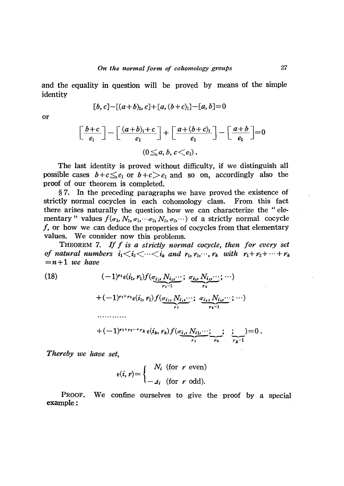and the equality in question will be proved by means of the simple identity

$$
[b, c] - [(a+b)_1, c] + [a, (b+c)_1] - [a, b] = 0
$$

or

$$
\left[\frac{b+c}{e_1}\right] - \left[\frac{(a+b)_1+c}{e_1}\right] + \left[\frac{a+(b+c)_1}{e_1}\right] - \left[\frac{a+b}{e_1}\right] = 0
$$
  
(0 \le a, b, c < e\_1).

The last identity is proved without difficulty, if we distinguish all possible cases  $b+c\leq e_{1}$  or  $b+c>e_{1}$  and so on, accordingly also the proof of our theorem is completed.

\S 7. In the preceding paragraphs we have proved the existence of strictly normal cocycles in each cohomology class. From this fact there arises naturally the question how we can characterize the "elementary" values  $f(\sigma_{1}, N_{1}, \sigma_{1},\cdots\sigma_{2}, N_{2}, \sigma_{2},\cdots)$  of a strictly normal cocycle  $f$ , or how we can deduce the properties of cocycles from that elementary values. We consider now this problems.

THEOREM 7. If  $f$  is a strictly normal cocycle, then for every set of natural numbers  $i_{1} \lt i_{2} \lt \cdots \lt i_{k}$  and  $r_{1}, r_{2}, \cdots, r_{k}$  with  $r_{1}+r_{2}+\cdots+r_{k}$  $=n+1$  we have

<span id="page-11-0"></span>(18) 
$$
(-1)^{r_1} \epsilon(i_1, r_1) f(\underbrace{\sigma_{i_1}, N_{i_1}, \cdots}_{r_1-1}; \underbrace{\sigma_{i_2}, N_{i_2}, \cdots}_{r_2}; \cdots) + (-1)^{r_1+r_2} \epsilon(i_1, r_2) f(\underbrace{\sigma_{i_1}, N_{i_1}, \cdots}_{r_1}; \underbrace{\sigma_{i_2}, N_{i_2}, \cdots}_{r_2-1}; \cdots) + (-1)^{r_1+r_2-r_k} \epsilon(i_k, r_k) f(\underbrace{\sigma_{i_1}, N_{i_1}, \cdots}_{r_1}; \underbrace{\cdots}_{r_2}; \underbrace{\vdots}_{r_k-1}) = 0.
$$

Thereby we have set,

$$
\epsilon(i,\,r) = \begin{cases} N_i \text{ (for } r \text{ even)} \\ -A_i \text{ (for } r \text{ odd)}. \end{cases}
$$

PROOF. We confine ourselves to give the proof by a special example :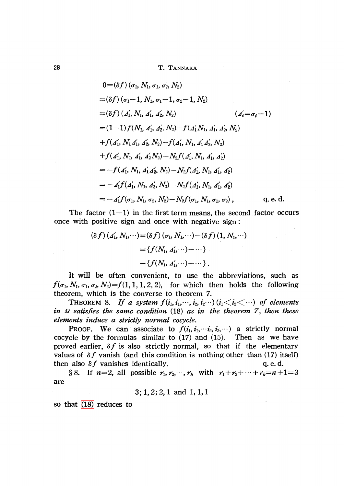$$
0 = (\delta f) (\sigma_1, N_1, \sigma_1, \sigma_2, N_2)
$$
  
\n
$$
= (\delta f) (\sigma_1 - 1, N_1, \sigma_1 - 1, \sigma_2 - 1, N_2)
$$
  
\n
$$
= (\delta f) (A'_1, N_1, A'_1, A'_2, N_2)
$$
 ( $A'_i = \sigma_i - 1$ )  
\n
$$
= (1 - 1) f(N_1, A'_1, A'_2, N_2) - f(A'_1, N_1, A'_1, A'_2, N_2)
$$
  
\n
$$
+ f(A'_1, N_1 A'_1, A'_2, N_2) - f(A'_1, N_1, A'_1 A'_2, N_2)
$$
  
\n
$$
+ f(A'_1, N_1, A'_1, A'_2 N_2) - N_2 f(A'_1, N_1, A'_1, A'_2)
$$
  
\n
$$
= -f(A'_1, N_1, A'_1 A'_2, N_2) - N_2 f(A'_1, N_1, A'_1, A'_2)
$$
  
\n
$$
= -A'_1 f(A'_1, N_1, A'_2, N_2) - N_2 f(A'_1, N_1, A'_1, A'_2)
$$
  
\n
$$
= -A'_1 f(\sigma_1, N_1, \sigma_2, N_2) - N_2 f(\sigma_1, N_1, \sigma_1, \sigma_2),
$$
 q. e. d.

The factor  $(1-1)$  in the first term means, the second factor occurs once with positive sign and once with negative sign:

$$
(\delta f) (A'_1, N_1, \cdots) = (\delta f) (\sigma_1, N_1, \cdots) - (\delta f) (1, N_1, \cdots)
$$
  
= { $f(N_1, A'_1, \cdots) - \cdots$ }  
- { $f(N_1, A'_1, \cdots) - \cdots$  }.

It will be often convenient, to use the abbreviations, such as  $f(\sigma_{1}, N_{1}, \sigma_{1}, \sigma_{2}, N_{2}) = f(1,1,1,2,2), \;\; \text{ for which then holds the following}$ theorem, which is the converse to theorem 7.

THEOREM 8. If a system  $f(i_{1}, i_{1},\dots, i_{2}, i_{2}\dots)(i_{1} \langle i_{2} \langle \dots \rangle)$  of elements in  $\Omega$  satisfies the same condition (18) as in the theorem 7, then these elements induce a strictly normal cocycle.

PROOF. We can associate to  $f(i_{1}, i_{1},\cdots i_{2}, i_{2},\cdots)$  a strictly normal cocycle by the formulas similar to (17) and (15). Then as we have proved earlier,  $\delta f$  is also strictly normal, so that if the elementary values of  $\delta f$  vanish (and this condition is nothing other than (17) itself) then also  $\delta f$  vanishes identically.  $q.e.d.$ 

§ 8. If  $n=2$ , all possible  $r_{1}, r_{2},\cdots, r_{k}$  with  $r_{1}+r_{2}+\cdots+r_{k}=n+1=3$ are

3; 1, 2; 2, <sup>1</sup> and 1, 1, 1

so that [\(18\)](#page-11-0) reduces to

 $\Delta \phi$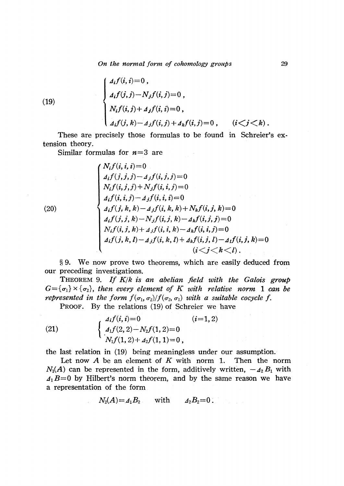On the normal form of cohomology groups 29

(19)  

$$
\begin{cases}\n4_i f(i, i) = 0, \\
4_i f(j, j) - N_j f(i, j) = 0, \\
N_i f(i, j) + 4_j f(i, i) = 0, \\
4_i f(j, k) - 4_j f(i, j) + 4_k f(i, j) = 0, \quad (i < j < k).\n\end{cases}
$$

These are precisely those formulas to be found in Schreier's extension theory.

Similar formulas for  $n=3$  are

$$
\begin{cases}\nN_i f(i, i, i) = 0 \\
A_i f(j, j, j) - A_j f(i, j, j) = 0 \\
N_i f(i, j, j) + N_j f(i, i, j) = 0 \\
A_i f(i, i, j) - A_j f(i, i, i) = 0 \\
A_i f(j, k, k) - A_j f(i, k, k) + N_k f(i, j, k) = 0 \\
A_i f(j, j, k) - N_j f(i, j, k) - A_k f(i, j, j) = 0 \\
N_i f(i, j, k) + A_j f(i, i, k) - A_k f(i, i, j) = 0 \\
A_i f(j, k, l) - A_j f(i, k, l) + A_k f(i, j, l) - A_l f(i, j, k) = 0 \\
(i < j < k < l).\n\end{cases}
$$

\S 9. We now prove two theorems, which are easily deduced from our preceding investigations.

THEOREM 9. If  $K/k$  is an abelian field with the Galois group  $G{=}\{\sigma_{1}\}\times\{\sigma_{2}\},$  then every element of  $K$  with relative norm 1 can be represented in the form  $f(\sigma_{1}, \sigma_{2})/f(\sigma_{2}, \sigma_{1})$  with a suitable cocycle f.

PROOF. By the relations (19) of Schreier we have

(21)  $\{A_{1}f(2,2)-N_{2}f(1,2)=0\}$ ,  $(i=1,2)$ 

the last relation in (19) being meaningless under our assumption.

Let now  $A$  be an element of  $K$  with norm 1. Then the norm  $N_{1}(A)$  can be represented in the form, additively written,  $-\Lambda_{2}B_{1}$  with  $\Delta_{1}B=0$  by Hilbert's norm theorem, and by the same reason we have a representation of the form

$$
N_2(A)=A_1B_2 \qquad \text{with} \qquad A_2B_2=0.
$$

 $(20)$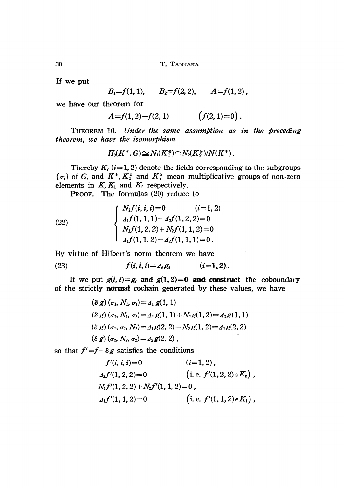If we put

 $B_{1}=f(1,1), \qquad B_{2}=f(2,2), \qquad A=f(1,2)$ 

we have our theorem for

$$
A = f(1,2) - f(2,1) \qquad \qquad (f(2,1)=0).
$$

THEOREM 10. Under the same assumption as in the preceding theorem, we have the isomorphism

$$
H_3(K^*,G)\!\!\cong\! N_1(K_1^*)\!\cap\! N_2(K_2^*)\!/N(K^*)\,.
$$

Thereby  $K_{i}$  (i=1, 2) denote the fields corresponding to the subgroups  $\{\sigma_{i}\}$  of G, and  $K^{*}$ ,  $K_{1}^{*}$  and  $K_{2}^{*}$  mean multiplicative groups of non-zero elements in  $K, K_{1}$  and  $K_{2}$  respectively.

PROOF. The formulas (20) reduce to

(22) 
$$
\begin{cases}\nN_i f(i, i, i) = 0 & (i = 1, 2) \\
A_1 f(1, 1, 1) - A_2 f(1, 2, 2) = 0 \\
N_1 f(1, 2, 2) + N_2 f(1, 1, 2) = 0 \\
A_1 f(1, 1, 2) - A_2 f(1, 1, 1) = 0.\n\end{cases}
$$

By virtue of Hilbert's norm theorem we have

(23) 
$$
f(i, i, i) = A_i g_i \qquad (i = 1, 2).
$$

If we put  $g(i, i)=g_{i}$  and  $g(1, 2)=0$  and construct the coboundary of the strictly normal cochain generated by these values, we have

$$
(\delta g) (\sigma_1, N_1, \sigma_1) = A_1 g(1, 1)
$$
  
\n
$$
(\delta g) (\sigma_1, N_1, \sigma_2) = A_2 g(1, 1) + N_1 g(1, 2) = A_2 g(1, 1)
$$
  
\n
$$
(\delta g) (\sigma_1, \sigma_2, N_2) = A_1 g(2, 2) - N_2 g(1, 2) = A_1 g(2, 2)
$$
  
\n
$$
(\delta g) (\sigma_2, N_2, \sigma_2) = A_2 g(2, 2),
$$

so that  $f^{\prime}=\hat{f}-\delta g$  satisfies the conditions

$$
f'(i, i, i) = 0 \qquad (i = 1, 2),
$$
  
\n
$$
A_2 f'(1, 2, 2) = 0 \qquad (i. e. f'(1, 2, 2) \in K_2),
$$
  
\n
$$
N_1 f'(1, 2, 2) + N_2 f'(1, 1, 2) = 0,
$$
  
\n
$$
A_1 f'(1, 1, 2) = 0 \qquad (i. e. f'(1, 1, 2) \in K_1),
$$